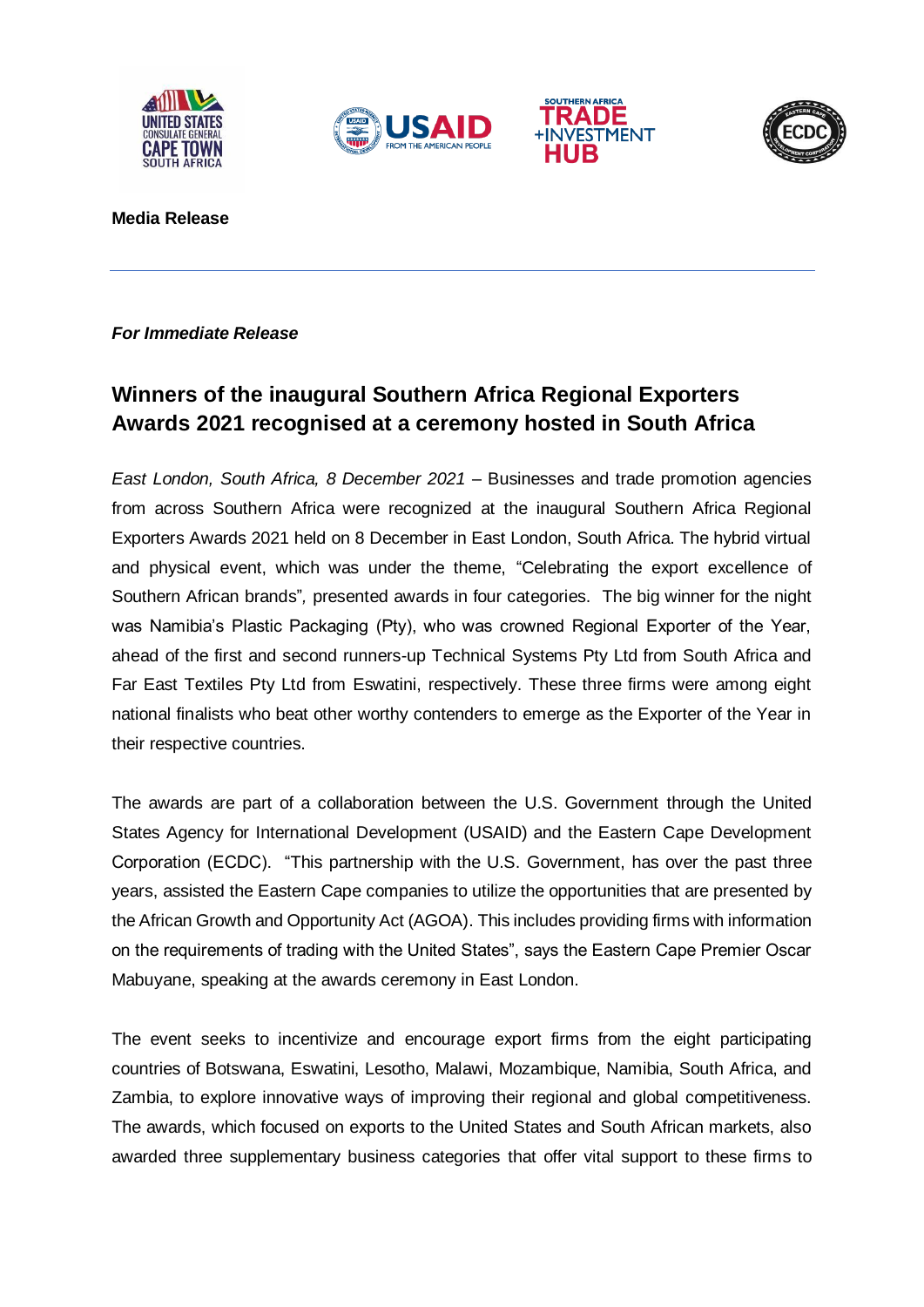







**Media Release**

## *For Immediate Release*

## **Winners of the inaugural Southern Africa Regional Exporters Awards 2021 recognised at a ceremony hosted in South Africa**

*East London, South Africa, 8 December 2021* – Businesses and trade promotion agencies from across Southern Africa were recognized at the inaugural Southern Africa Regional Exporters Awards 2021 held on 8 December in East London, South Africa. The hybrid virtual and physical event, which was under the theme, "Celebrating the export excellence of Southern African brands"*,* presented awards in four categories. The big winner for the night was Namibia's Plastic Packaging (Pty), who was crowned Regional Exporter of the Year, ahead of the first and second runners-up Technical Systems Pty Ltd from South Africa and Far East Textiles Pty Ltd from Eswatini, respectively. These three firms were among eight national finalists who beat other worthy contenders to emerge as the Exporter of the Year in their respective countries.

The awards are part of a collaboration between the U.S. Government through the United States Agency for International Development (USAID) and the Eastern Cape Development Corporation (ECDC). "This partnership with the U.S. Government, has over the past three years, assisted the Eastern Cape companies to utilize the opportunities that are presented by the African Growth and Opportunity Act (AGOA). This includes providing firms with information on the requirements of trading with the United States", says the Eastern Cape Premier Oscar Mabuyane, speaking at the awards ceremony in East London.

The event seeks to incentivize and encourage export firms from the eight participating countries of Botswana, Eswatini, Lesotho, Malawi, Mozambique, Namibia, South Africa, and Zambia, to explore innovative ways of improving their regional and global competitiveness. The awards, which focused on exports to the United States and South African markets, also awarded three supplementary business categories that offer vital support to these firms to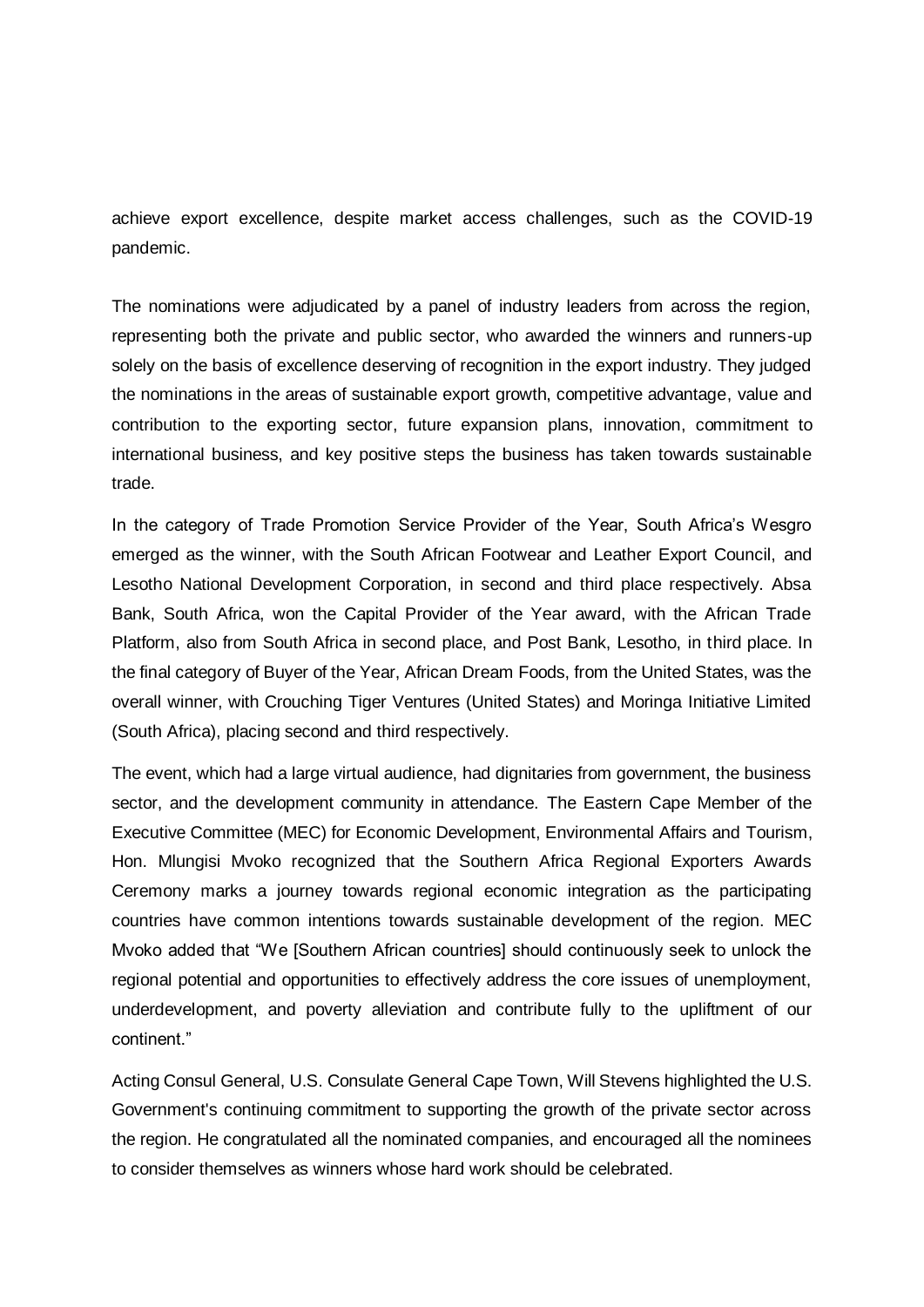achieve export excellence, despite market access challenges, such as the COVID-19 pandemic.

The nominations were adjudicated by a panel of industry leaders from across the region, representing both the private and public sector, who awarded the winners and runners-up solely on the basis of excellence deserving of recognition in the export industry. They judged the nominations in the areas of sustainable export growth, competitive advantage, value and contribution to the exporting sector, future expansion plans, innovation, commitment to international business, and key positive steps the business has taken towards sustainable trade.

In the category of Trade Promotion Service Provider of the Year, South Africa's Wesgro emerged as the winner, with the South African Footwear and Leather Export Council, and Lesotho National Development Corporation, in second and third place respectively. Absa Bank, South Africa, won the Capital Provider of the Year award, with the African Trade Platform, also from South Africa in second place, and Post Bank, Lesotho, in third place. In the final category of Buyer of the Year, African Dream Foods, from the United States, was the overall winner, with Crouching Tiger Ventures (United States) and Moringa Initiative Limited (South Africa), placing second and third respectively.

The event, which had a large virtual audience, had dignitaries from government, the business sector, and the development community in attendance. The Eastern Cape Member of the Executive Committee (MEC) for Economic Development, Environmental Affairs and Tourism, Hon. Mlungisi Mvoko recognized that the Southern Africa Regional Exporters Awards Ceremony marks a journey towards regional economic integration as the participating countries have common intentions towards sustainable development of the region. MEC Mvoko added that "We [Southern African countries] should continuously seek to unlock the regional potential and opportunities to effectively address the core issues of unemployment, underdevelopment, and poverty alleviation and contribute fully to the upliftment of our continent."

Acting Consul General, U.S. Consulate General Cape Town, Will Stevens highlighted the U.S. Government's continuing commitment to supporting the growth of the private sector across the region. He congratulated all the nominated companies, and encouraged all the nominees to consider themselves as winners whose hard work should be celebrated.